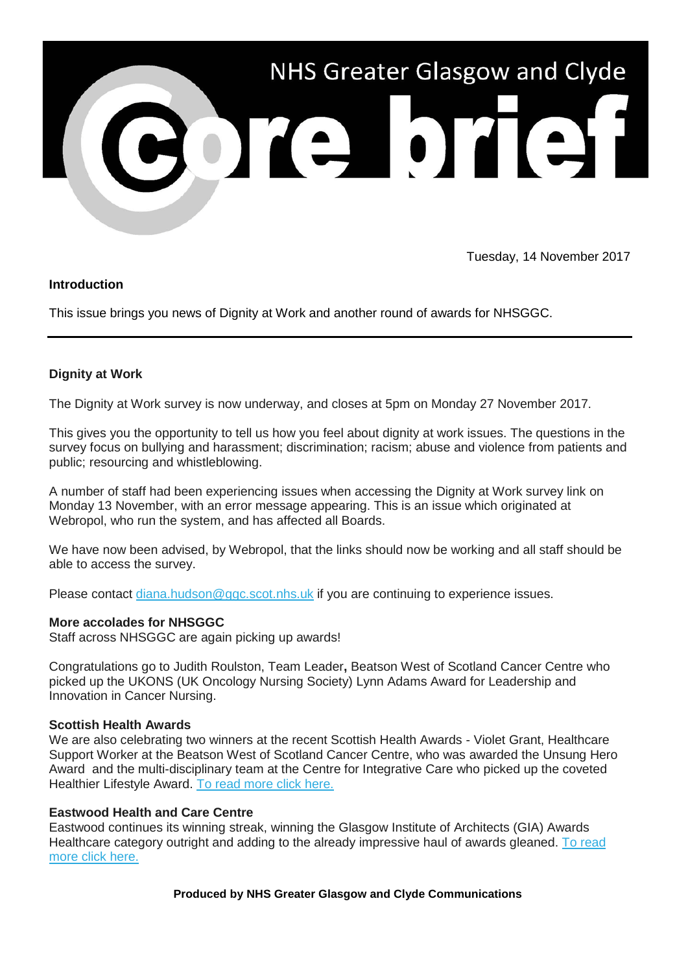

Tuesday, 14 November 2017

## **Introduction**

This issue brings you news of Dignity at Work and another round of awards for NHSGGC.

# **Dignity at Work**

The Dignity at Work survey is now underway, and closes at 5pm on Monday 27 November 2017.

This gives you the opportunity to tell us how you feel about dignity at work issues. The questions in the survey focus on bullying and harassment; discrimination; racism; abuse and violence from patients and public; resourcing and whistleblowing.

A number of staff had been experiencing issues when accessing the Dignity at Work survey link on Monday 13 November, with an error message appearing. This is an issue which originated at Webropol, who run the system, and has affected all Boards.

We have now been advised, by Webropol, that the links should now be working and all staff should be able to access the survey.

Please contact [diana.hudson@ggc.scot.nhs.uk](mailto:diana.hudson@ggc.scot.nhs.uk?subject=Dignity%20at%20Work) if you are continuing to experience issues.

#### **More accolades for NHSGGC**

Staff across NHSGGC are again picking up awards!

Congratulations go to Judith Roulston, Team Leader**,** Beatson West of Scotland Cancer Centre who picked up the UKONS (UK Oncology Nursing Society) Lynn Adams Award for Leadership and Innovation in Cancer Nursing.

#### **Scottish Health Awards**

We are also celebrating two winners at the recent Scottish Health Awards - Violet Grant, Healthcare Support Worker at the Beatson West of Scotland Cancer Centre, who was awarded the Unsung Hero Award and the multi-disciplinary team at the Centre for Integrative Care who picked up the coveted Healthier Lifestyle Award. [To read more click here.](https://nhsggc.us12.list-manage.com/track/click?u=0f385b5aea37eaf0213bd19fb&id=af6ca660af&e=5af5e1832c)

#### **Eastwood Health and Care Centre**

Eastwood continues its winning streak, winning the Glasgow Institute of Architects (GIA) Awards Healthcare category outright and adding to the already impressive haul of awards gleaned. [To read](https://nhsggc.us12.list-manage.com/track/click?u=0f385b5aea37eaf0213bd19fb&id=8dbd4a7074&e=5af5e1832c)  [more click here.](https://nhsggc.us12.list-manage.com/track/click?u=0f385b5aea37eaf0213bd19fb&id=8dbd4a7074&e=5af5e1832c)

**Produced by NHS Greater Glasgow and Clyde Communications**